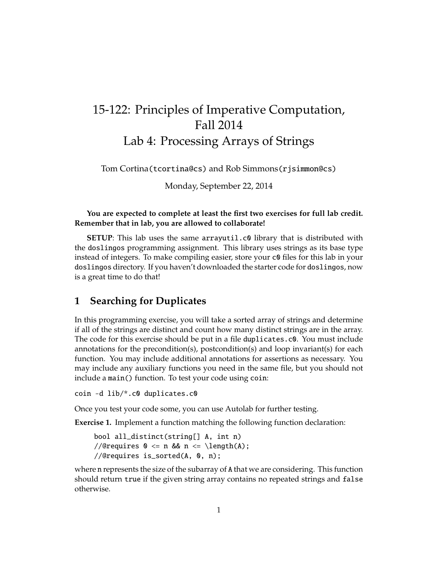## 15-122: Principles of Imperative Computation, Fall 2014 Lab 4: Processing Arrays of Strings

Tom Cortina(tcortina@cs) and Rob Simmons(rjsimmon@cs)

Monday, September 22, 2014

## **You are expected to complete at least the first two exercises for full lab credit. Remember that in lab, you are allowed to collaborate!**

**SETUP:** This lab uses the same arrayutil.c0 library that is distributed with the doslingos programming assignment. This library uses strings as its base type instead of integers. To make compiling easier, store your c0 files for this lab in your doslingos directory. If you haven't downloaded the starter code for doslingos, now is a great time to do that!

## **1 Searching for Duplicates**

In this programming exercise, you will take a sorted array of strings and determine if all of the strings are distinct and count how many distinct strings are in the array. The code for this exercise should be put in a file duplicates.c0. You must include annotations for the precondition(s), postcondition(s) and loop invariant(s) for each function. You may include additional annotations for assertions as necessary. You may include any auxiliary functions you need in the same file, but you should not include a main() function. To test your code using coin:

coin -d lib/\*.c0 duplicates.c0

Once you test your code some, you can use Autolab for further testing.

**Exercise 1.** Implement a function matching the following function declaration:

bool all\_distinct(string[] A, int n) //@requires  $0 \le n$  &&  $n \le \{\text{length}(A)\};$ //@requires is\_sorted(A, 0, n);

where n represents the size of the subarray of A that we are considering. This function should return true if the given string array contains no repeated strings and false otherwise.